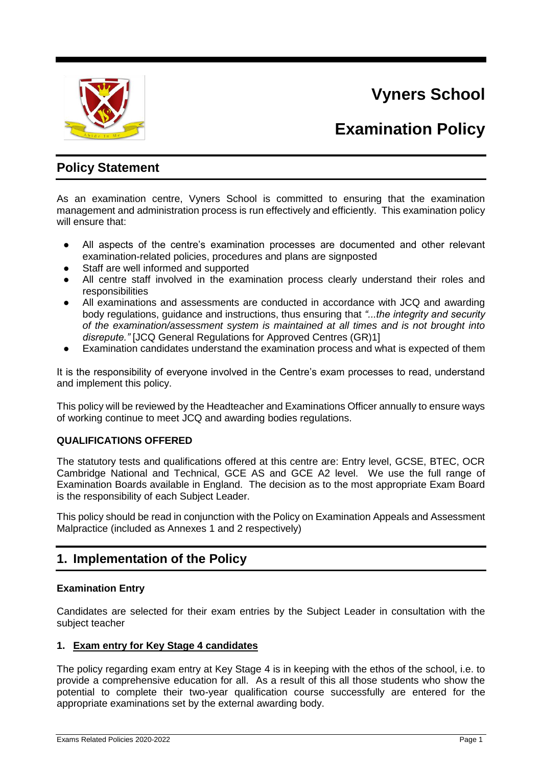

## **Examination Policy**

### **Policy Statement**

As an examination centre, Vyners School is committed to ensuring that the examination management and administration process is run effectively and efficiently. This examination policy will ensure that:

- All aspects of the centre's examination processes are documented and other relevant examination-related policies, procedures and plans are signposted
- Staff are well informed and supported
- All centre staff involved in the examination process clearly understand their roles and responsibilities
- All examinations and assessments are conducted in accordance with JCQ and awarding body regulations, guidance and instructions, thus ensuring that *"...the integrity and security of the examination/assessment system is maintained at all times and is not brought into disrepute."* [JCQ General Regulations for Approved Centres (GR)1]
- Examination candidates understand the examination process and what is expected of them

It is the responsibility of everyone involved in the Centre's exam processes to read, understand and implement this policy.

This policy will be reviewed by the Headteacher and Examinations Officer annually to ensure ways of working continue to meet JCQ and awarding bodies regulations.

### **QUALIFICATIONS OFFERED**

The statutory tests and qualifications offered at this centre are: Entry level, GCSE, BTEC, OCR Cambridge National and Technical, GCE AS and GCE A2 level. We use the full range of Examination Boards available in England. The decision as to the most appropriate Exam Board is the responsibility of each Subject Leader.

This policy should be read in conjunction with the Policy on Examination Appeals and Assessment Malpractice (included as Annexes 1 and 2 respectively)

### **1. Implementation of the Policy**

### **Examination Entry**

Candidates are selected for their exam entries by the Subject Leader in consultation with the subject teacher

### **1. Exam entry for Key Stage 4 candidates**

The policy regarding exam entry at Key Stage 4 is in keeping with the ethos of the school, i.e. to provide a comprehensive education for all. As a result of this all those students who show the potential to complete their two-year qualification course successfully are entered for the appropriate examinations set by the external awarding body.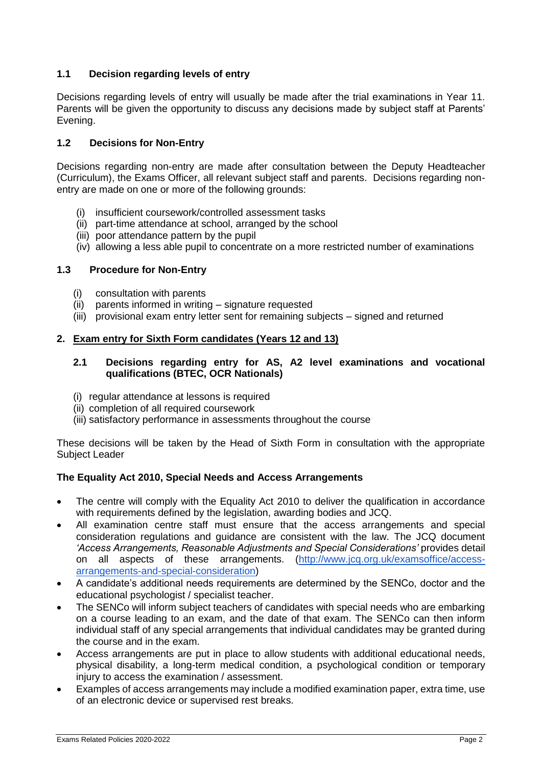### **1.1 Decision regarding levels of entry**

Decisions regarding levels of entry will usually be made after the trial examinations in Year 11. Parents will be given the opportunity to discuss any decisions made by subject staff at Parents' Evening.

### **1.2 Decisions for Non-Entry**

Decisions regarding non-entry are made after consultation between the Deputy Headteacher (Curriculum), the Exams Officer, all relevant subject staff and parents. Decisions regarding nonentry are made on one or more of the following grounds:

- (i) insufficient coursework/controlled assessment tasks
- (ii) part-time attendance at school, arranged by the school
- (iii) poor attendance pattern by the pupil
- (iv) allowing a less able pupil to concentrate on a more restricted number of examinations

### **1.3 Procedure for Non-Entry**

- (i) consultation with parents
- (ii) parents informed in writing signature requested
- (iii) provisional exam entry letter sent for remaining subjects signed and returned

### **2. Exam entry for Sixth Form candidates (Years 12 and 13)**

### **2.1 Decisions regarding entry for AS, A2 level examinations and vocational qualifications (BTEC, OCR Nationals)**

- (i) regular attendance at lessons is required
- (ii) completion of all required coursework
- (iii) satisfactory performance in assessments throughout the course

These decisions will be taken by the Head of Sixth Form in consultation with the appropriate Subject Leader

### **The Equality Act 2010, Special Needs and Access Arrangements**

- The centre will comply with the Equality Act 2010 to deliver the qualification in accordance with requirements defined by the legislation, awarding bodies and JCQ.
- All examination centre staff must ensure that the access arrangements and special consideration regulations and guidance are consistent with the law. The JCQ document 'Access Arrangements, Reasonable Adjustments and Special Considerations' provides detail on all aspects of these arrangements. [\(http://www.jcq.org.uk/examsoffice/access](http://www.jcq.org.uk/examsoffice/access-arrangements-and-special-consideration)[arrangements-and-special-consideration\)](http://www.jcq.org.uk/examsoffice/access-arrangements-and-special-consideration)
- A candidate's additional needs requirements are determined by the SENCo, doctor and the educational psychologist / specialist teacher.
- The SENCo will inform subject teachers of candidates with special needs who are embarking on a course leading to an exam, and the date of that exam. The SENCo can then inform individual staff of any special arrangements that individual candidates may be granted during the course and in the exam.
- Access arrangements are put in place to allow students with additional educational needs, physical disability, a long-term medical condition, a psychological condition or temporary injury to access the examination / assessment.
- Examples of access arrangements may include a modified examination paper, extra time, use of an electronic device or supervised rest breaks.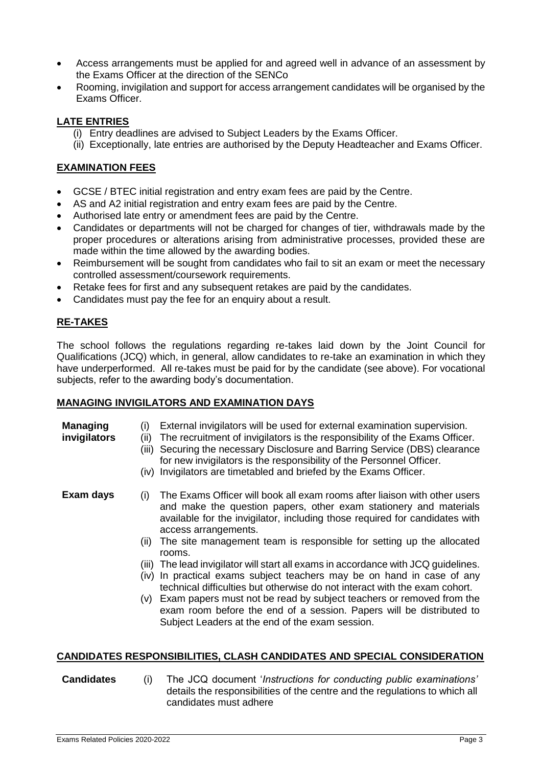- Access arrangements must be applied for and agreed well in advance of an assessment by the Exams Officer at the direction of the SENCo
- Rooming, invigilation and support for access arrangement candidates will be organised by the Exams Officer.

### **LATE ENTRIES**

- (i) Entry deadlines are advised to Subject Leaders by the Exams Officer.
- (ii) Exceptionally, late entries are authorised by the Deputy Headteacher and Exams Officer.

### **EXAMINATION FEES**

- GCSE / BTEC initial registration and entry exam fees are paid by the Centre.
- AS and A2 initial registration and entry exam fees are paid by the Centre.
- Authorised late entry or amendment fees are paid by the Centre.
- Candidates or departments will not be charged for changes of tier, withdrawals made by the proper procedures or alterations arising from administrative processes, provided these are made within the time allowed by the awarding bodies.
- Reimbursement will be sought from candidates who fail to sit an exam or meet the necessary controlled assessment/coursework requirements.
- Retake fees for first and any subsequent retakes are paid by the candidates.
- Candidates must pay the fee for an enquiry about a result.

### **RE-TAKES**

The school follows the regulations regarding re-takes laid down by the Joint Council for Qualifications (JCQ) which, in general, allow candidates to re-take an examination in which they have underperformed. All re-takes must be paid for by the candidate (see above). For vocational subjects, refer to the awarding body's documentation.

### **MANAGING INVIGILATORS AND EXAMINATION DAYS**

| <b>Managing</b><br>invigilators | (i)<br>(ii)<br>(iii) | External invigilators will be used for external examination supervision.<br>The recruitment of invigilators is the responsibility of the Exams Officer.<br>Securing the necessary Disclosure and Barring Service (DBS) clearance<br>for new invigilators is the responsibility of the Personnel Officer.<br>(iv) Invigilators are timetabled and briefed by the Exams Officer.                                                                                                                                                                                                                                                                                                                                                                                                         |
|---------------------------------|----------------------|----------------------------------------------------------------------------------------------------------------------------------------------------------------------------------------------------------------------------------------------------------------------------------------------------------------------------------------------------------------------------------------------------------------------------------------------------------------------------------------------------------------------------------------------------------------------------------------------------------------------------------------------------------------------------------------------------------------------------------------------------------------------------------------|
| Exam days                       | (i)<br>(ii)<br>(III) | The Exams Officer will book all exam rooms after liaison with other users<br>and make the question papers, other exam stationery and materials<br>available for the invigilator, including those required for candidates with<br>access arrangements.<br>The site management team is responsible for setting up the allocated<br>rooms.<br>The lead invigilator will start all exams in accordance with JCQ guidelines.<br>(iv) In practical exams subject teachers may be on hand in case of any<br>technical difficulties but otherwise do not interact with the exam cohort.<br>(v) Exam papers must not be read by subject teachers or removed from the<br>exam room before the end of a session. Papers will be distributed to<br>Subject Leaders at the end of the exam session. |
|                                 |                      | <b>CANDIDATES RESPONSIBILITIES, CLASH CANDIDATES AND SPECIAL CONSIDERATION</b>                                                                                                                                                                                                                                                                                                                                                                                                                                                                                                                                                                                                                                                                                                         |
|                                 |                      | $P_1 = \mathbf{T}$ is substituted in the contraction of the conditional individual in $P_1$                                                                                                                                                                                                                                                                                                                                                                                                                                                                                                                                                                                                                                                                                            |

#### **Candidates** (i) The JCQ document '*Instructions for conducting public examinations'* details the responsibilities of the centre and the regulations to which all candidates must adhere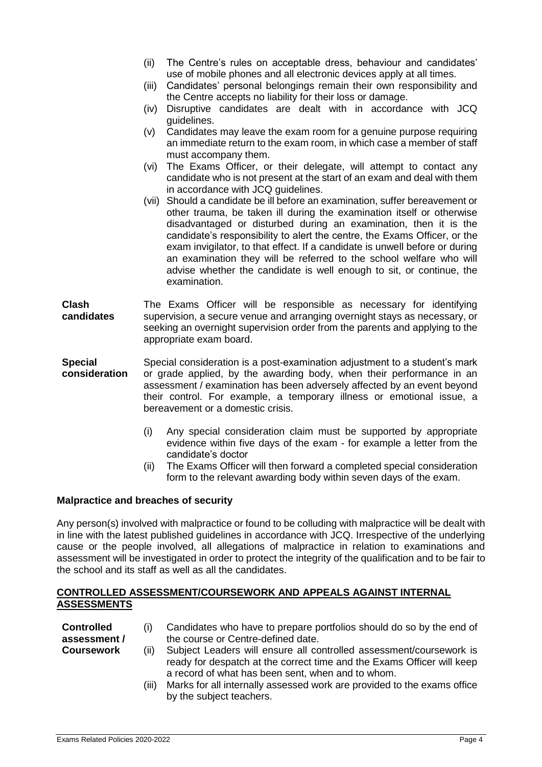- (ii) The Centre's rules on acceptable dress, behaviour and candidates' use of mobile phones and all electronic devices apply at all times.
- (iii) Candidates' personal belongings remain their own responsibility and the Centre accepts no liability for their loss or damage.
- (iv) Disruptive candidates are dealt with in accordance with JCQ guidelines.
- (v) Candidates may leave the exam room for a genuine purpose requiring an immediate return to the exam room, in which case a member of staff must accompany them.
- (vi) The Exams Officer, or their delegate, will attempt to contact any candidate who is not present at the start of an exam and deal with them in accordance with JCQ guidelines.
- (vii) Should a candidate be ill before an examination, suffer bereavement or other trauma, be taken ill during the examination itself or otherwise disadvantaged or disturbed during an examination, then it is the candidate's responsibility to alert the centre, the Exams Officer, or the exam invigilator, to that effect. If a candidate is unwell before or during an examination they will be referred to the school welfare who will advise whether the candidate is well enough to sit, or continue, the examination.
- **Clash candidates** The Exams Officer will be responsible as necessary for identifying supervision, a secure venue and arranging overnight stays as necessary, or seeking an overnight supervision order from the parents and applying to the appropriate exam board.
- **Special consideration** Special consideration is a post-examination adjustment to a student's mark or grade applied, by the awarding body, when their performance in an assessment / examination has been adversely affected by an event beyond their control. For example, a temporary illness or emotional issue, a bereavement or a domestic crisis.
	- (i) Any special consideration claim must be supported by appropriate evidence within five days of the exam - for example a letter from the candidate's doctor
	- (ii) The Exams Officer will then forward a completed special consideration form to the relevant awarding body within seven days of the exam.

### **Malpractice and breaches of security**

Any person(s) involved with malpractice or found to be colluding with malpractice will be dealt with in line with the latest published guidelines in accordance with JCQ. Irrespective of the underlying cause or the people involved, all allegations of malpractice in relation to examinations and assessment will be investigated in order to protect the integrity of the qualification and to be fair to the school and its staff as well as all the candidates.

### **CONTROLLED ASSESSMENT/COURSEWORK AND APPEALS AGAINST INTERNAL ASSESSMENTS**

| <b>Controlled</b> |      | Candidates who have to prepare portfolios should do so by the end of   |
|-------------------|------|------------------------------------------------------------------------|
| assessment /      |      | the course or Centre-defined date.                                     |
| <b>Coursework</b> | (ii) | Subject Leaders will ensure all controlled assessment/coursework is    |
|                   |      | ready for despatch at the correct time and the Exams Officer will keep |
|                   |      | a record of what has been sent, when and to whom.                      |

(iii) Marks for all internally assessed work are provided to the exams office by the subject teachers.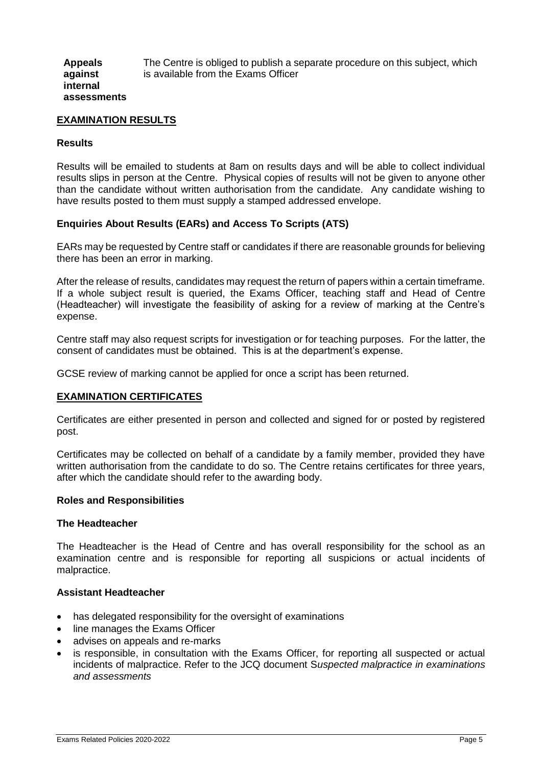**Appeals against internal assessments** The Centre is obliged to publish a separate procedure on this subject, which is available from the Exams Officer

#### **EXAMINATION RESULTS**

#### **Results**

Results will be emailed to students at 8am on results days and will be able to collect individual results slips in person at the Centre. Physical copies of results will not be given to anyone other than the candidate without written authorisation from the candidate. Any candidate wishing to have results posted to them must supply a stamped addressed envelope.

#### **Enquiries About Results (EARs) and Access To Scripts (ATS)**

EARs may be requested by Centre staff or candidates if there are reasonable grounds for believing there has been an error in marking.

After the release of results, candidates may request the return of papers within a certain timeframe. If a whole subject result is queried, the Exams Officer, teaching staff and Head of Centre (Headteacher) will investigate the feasibility of asking for a review of marking at the Centre's expense.

Centre staff may also request scripts for investigation or for teaching purposes. For the latter, the consent of candidates must be obtained. This is at the department's expense.

GCSE review of marking cannot be applied for once a script has been returned.

#### **EXAMINATION CERTIFICATES**

Certificates are either presented in person and collected and signed for or posted by registered post.

Certificates may be collected on behalf of a candidate by a family member, provided they have written authorisation from the candidate to do so. The Centre retains certificates for three years, after which the candidate should refer to the awarding body.

#### **Roles and Responsibilities**

#### **The Headteacher**

The Headteacher is the Head of Centre and has overall responsibility for the school as an examination centre and is responsible for reporting all suspicions or actual incidents of malpractice.

#### **Assistant Headteacher**

- has delegated responsibility for the oversight of examinations
- line manages the Exams Officer
- advises on appeals and re-marks
- is responsible, in consultation with the Exams Officer, for reporting all suspected or actual incidents of malpractice. Refer to the JCQ document S*uspected malpractice in examinations and assessments*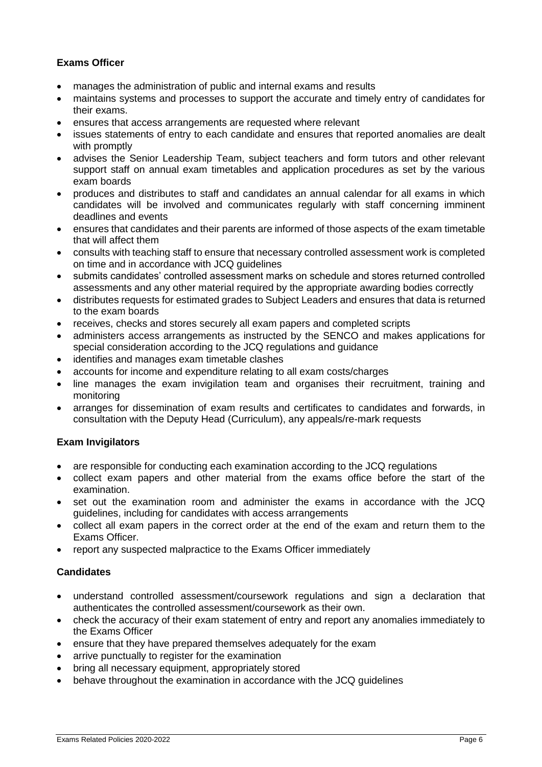### **Exams Officer**

- manages the administration of public and internal exams and results
- maintains systems and processes to support the accurate and timely entry of candidates for their exams.
- ensures that access arrangements are requested where relevant
- issues statements of entry to each candidate and ensures that reported anomalies are dealt with promptly
- advises the Senior Leadership Team, subject teachers and form tutors and other relevant support staff on annual exam timetables and application procedures as set by the various exam boards
- produces and distributes to staff and candidates an annual calendar for all exams in which candidates will be involved and communicates regularly with staff concerning imminent deadlines and events
- ensures that candidates and their parents are informed of those aspects of the exam timetable that will affect them
- consults with teaching staff to ensure that necessary controlled assessment work is completed on time and in accordance with JCQ guidelines
- submits candidates' controlled assessment marks on schedule and stores returned controlled assessments and any other material required by the appropriate awarding bodies correctly
- distributes requests for estimated grades to Subject Leaders and ensures that data is returned to the exam boards
- receives, checks and stores securely all exam papers and completed scripts
- administers access arrangements as instructed by the SENCO and makes applications for special consideration according to the JCQ regulations and guidance
- identifies and manages exam timetable clashes
- accounts for income and expenditure relating to all exam costs/charges
- line manages the exam invigilation team and organises their recruitment, training and monitoring
- arranges for dissemination of exam results and certificates to candidates and forwards, in consultation with the Deputy Head (Curriculum), any appeals/re-mark requests

### **Exam Invigilators**

- are responsible for conducting each examination according to the JCQ regulations
- collect exam papers and other material from the exams office before the start of the examination.
- set out the examination room and administer the exams in accordance with the JCQ guidelines, including for candidates with access arrangements
- collect all exam papers in the correct order at the end of the exam and return them to the Exams Officer.
- report any suspected malpractice to the Exams Officer immediately

### **Candidates**

- understand controlled assessment/coursework regulations and sign a declaration that authenticates the controlled assessment/coursework as their own.
- check the accuracy of their exam statement of entry and report any anomalies immediately to the Exams Officer
- ensure that they have prepared themselves adequately for the exam
- arrive punctually to register for the examination
- bring all necessary equipment, appropriately stored
- behave throughout the examination in accordance with the JCQ guidelines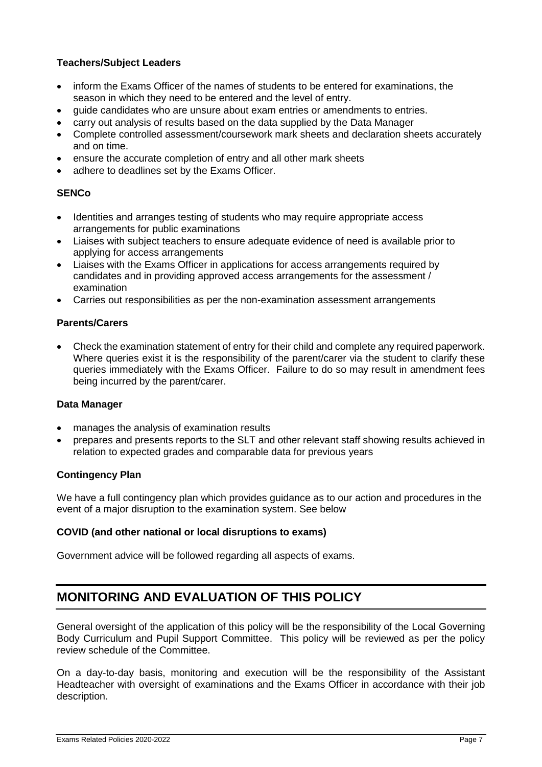### **Teachers/Subject Leaders**

- inform the Exams Officer of the names of students to be entered for examinations, the season in which they need to be entered and the level of entry.
- guide candidates who are unsure about exam entries or amendments to entries.
- carry out analysis of results based on the data supplied by the Data Manager
- Complete controlled assessment/coursework mark sheets and declaration sheets accurately and on time.
- ensure the accurate completion of entry and all other mark sheets
- adhere to deadlines set by the Exams Officer.

### **SENCo**

- Identities and arranges testing of students who may require appropriate access arrangements for public examinations
- Liaises with subject teachers to ensure adequate evidence of need is available prior to applying for access arrangements
- Liaises with the Exams Officer in applications for access arrangements required by candidates and in providing approved access arrangements for the assessment / examination
- Carries out responsibilities as per the non-examination assessment arrangements

### **Parents/Carers**

 Check the examination statement of entry for their child and complete any required paperwork. Where queries exist it is the responsibility of the parent/carer via the student to clarify these queries immediately with the Exams Officer. Failure to do so may result in amendment fees being incurred by the parent/carer.

### **Data Manager**

- manages the analysis of examination results
- prepares and presents reports to the SLT and other relevant staff showing results achieved in relation to expected grades and comparable data for previous years

### **Contingency Plan**

We have a full contingency plan which provides guidance as to our action and procedures in the event of a major disruption to the examination system. See below

### **COVID (and other national or local disruptions to exams)**

Government advice will be followed regarding all aspects of exams.

### **MONITORING AND EVALUATION OF THIS POLICY**

General oversight of the application of this policy will be the responsibility of the Local Governing Body Curriculum and Pupil Support Committee. This policy will be reviewed as per the policy review schedule of the Committee.

On a day-to-day basis, monitoring and execution will be the responsibility of the Assistant Headteacher with oversight of examinations and the Exams Officer in accordance with their job description.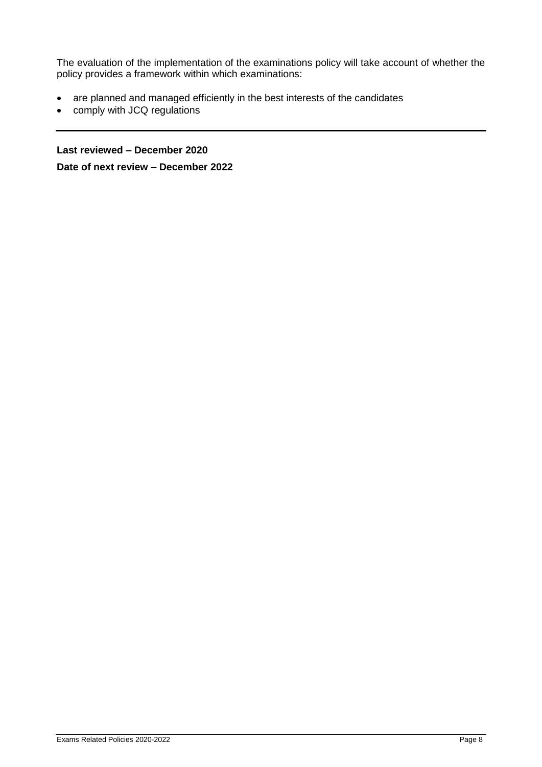The evaluation of the implementation of the examinations policy will take account of whether the policy provides a framework within which examinations:

- are planned and managed efficiently in the best interests of the candidates
- comply with JCQ regulations

**Last reviewed – December 2020**

**Date of next review – December 2022**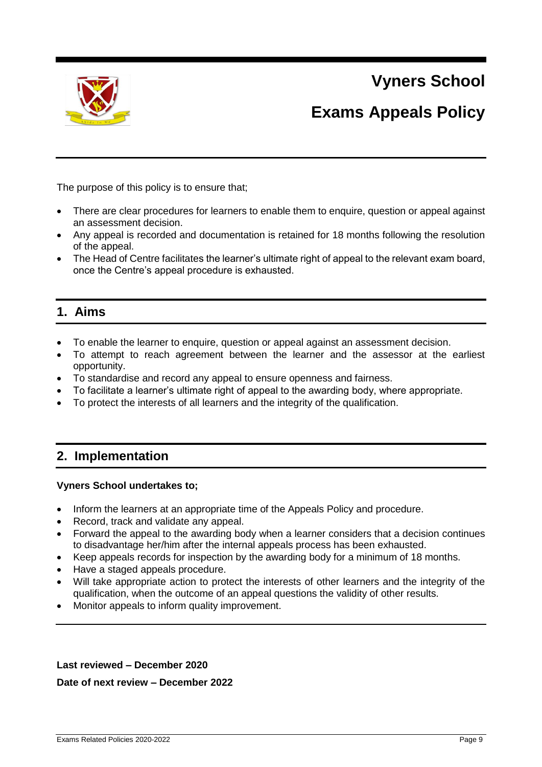

# **Exams Appeals Policy**

The purpose of this policy is to ensure that;

- There are clear procedures for learners to enable them to enquire, question or appeal against an assessment decision.
- Any appeal is recorded and documentation is retained for 18 months following the resolution of the appeal.
- The Head of Centre facilitates the learner's ultimate right of appeal to the relevant exam board, once the Centre's appeal procedure is exhausted.

### **1. Aims**

- To enable the learner to enquire, question or appeal against an assessment decision.
- To attempt to reach agreement between the learner and the assessor at the earliest opportunity.
- To standardise and record any appeal to ensure openness and fairness.
- To facilitate a learner's ultimate right of appeal to the awarding body, where appropriate.
- To protect the interests of all learners and the integrity of the qualification.

### **2. Implementation**

### **Vyners School undertakes to;**

- Inform the learners at an appropriate time of the Appeals Policy and procedure.
- Record, track and validate any appeal.
- Forward the appeal to the awarding body when a learner considers that a decision continues to disadvantage her/him after the internal appeals process has been exhausted.
- Keep appeals records for inspection by the awarding body for a minimum of 18 months.
- Have a staged appeals procedure.
- Will take appropriate action to protect the interests of other learners and the integrity of the qualification, when the outcome of an appeal questions the validity of other results.
- Monitor appeals to inform quality improvement.

### **Last reviewed – December 2020 Date of next review – December 2022**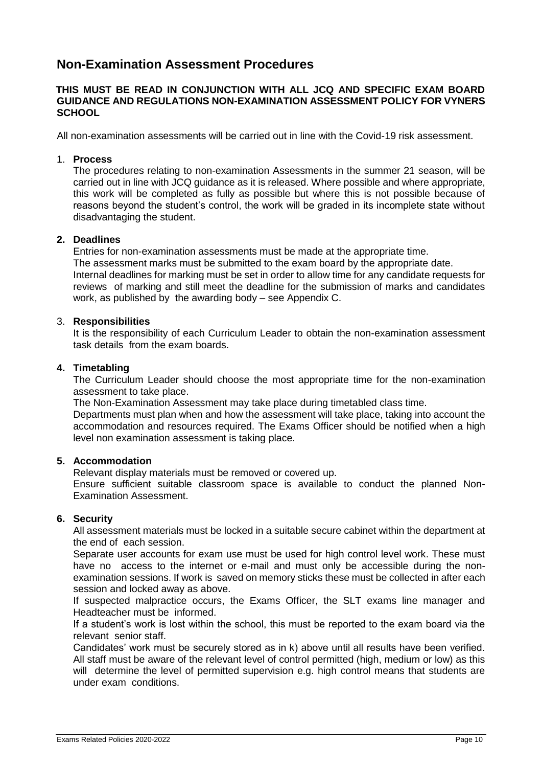### **Non-Examination Assessment Procedures**

#### **THIS MUST BE READ IN CONJUNCTION WITH ALL JCQ AND SPECIFIC EXAM BOARD GUIDANCE AND REGULATIONS NON-EXAMINATION ASSESSMENT POLICY FOR VYNERS SCHOOL**

All non-examination assessments will be carried out in line with the Covid-19 risk assessment.

### 1. **Process**

The procedures relating to non-examination Assessments in the summer 21 season, will be carried out in line with JCQ guidance as it is released. Where possible and where appropriate, this work will be completed as fully as possible but where this is not possible because of reasons beyond the student's control, the work will be graded in its incomplete state without disadvantaging the student.

### **2. Deadlines**

Entries for non-examination assessments must be made at the appropriate time. The assessment marks must be submitted to the exam board by the appropriate date. Internal deadlines for marking must be set in order to allow time for any candidate requests for reviews of marking and still meet the deadline for the submission of marks and candidates work, as published by the awarding body – see Appendix C.

### 3. **Responsibilities**

It is the responsibility of each Curriculum Leader to obtain the non-examination assessment task details from the exam boards.

### **4. Timetabling**

The Curriculum Leader should choose the most appropriate time for the non-examination assessment to take place.

The Non-Examination Assessment may take place during timetabled class time.

Departments must plan when and how the assessment will take place, taking into account the accommodation and resources required. The Exams Officer should be notified when a high level non examination assessment is taking place.

### **5. Accommodation**

Relevant display materials must be removed or covered up.

Ensure sufficient suitable classroom space is available to conduct the planned Non-Examination Assessment.

### **6. Security**

All assessment materials must be locked in a suitable secure cabinet within the department at the end of each session.

Separate user accounts for exam use must be used for high control level work. These must have no access to the internet or e-mail and must only be accessible during the nonexamination sessions. If work is saved on memory sticks these must be collected in after each session and locked away as above.

If suspected malpractice occurs, the Exams Officer, the SLT exams line manager and Headteacher must be informed.

If a student's work is lost within the school, this must be reported to the exam board via the relevant senior staff.

Candidates' work must be securely stored as in k) above until all results have been verified. All staff must be aware of the relevant level of control permitted (high, medium or low) as this will determine the level of permitted supervision e.g. high control means that students are under exam conditions.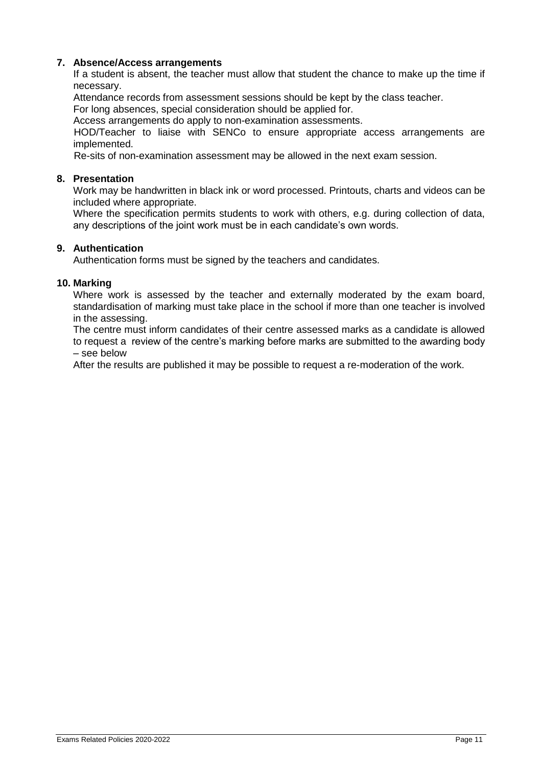### **7. Absence/Access arrangements**

If a student is absent, the teacher must allow that student the chance to make up the time if necessary.

Attendance records from assessment sessions should be kept by the class teacher.

For long absences, special consideration should be applied for.

Access arrangements do apply to non-examination assessments.

HOD/Teacher to liaise with SENCo to ensure appropriate access arrangements are implemented.

Re-sits of non-examination assessment may be allowed in the next exam session.

### **8. Presentation**

Work may be handwritten in black ink or word processed. Printouts, charts and videos can be included where appropriate.

Where the specification permits students to work with others, e.g. during collection of data, any descriptions of the joint work must be in each candidate's own words.

### **9. Authentication**

Authentication forms must be signed by the teachers and candidates.

#### **10. Marking**

Where work is assessed by the teacher and externally moderated by the exam board, standardisation of marking must take place in the school if more than one teacher is involved in the assessing.

The centre must inform candidates of their centre assessed marks as a candidate is allowed to request a review of the centre's marking before marks are submitted to the awarding body – see below

After the results are published it may be possible to request a re-moderation of the work.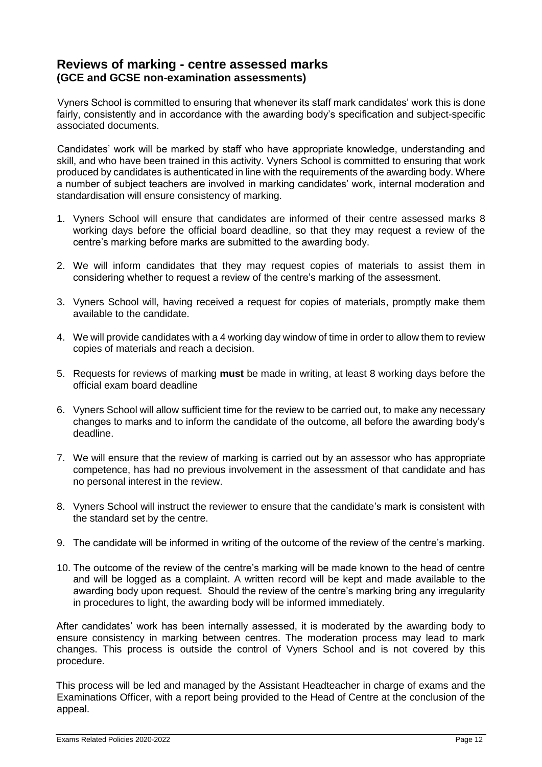### **Reviews of marking - centre assessed marks (GCE and GCSE non-examination assessments)**

Vyners School is committed to ensuring that whenever its staff mark candidates' work this is done fairly, consistently and in accordance with the awarding body's specification and subject-specific associated documents.

Candidates' work will be marked by staff who have appropriate knowledge, understanding and skill, and who have been trained in this activity. Vyners School is committed to ensuring that work produced by candidates is authenticated in line with the requirements of the awarding body. Where a number of subject teachers are involved in marking candidates' work, internal moderation and standardisation will ensure consistency of marking.

- 1. Vyners School will ensure that candidates are informed of their centre assessed marks 8 working days before the official board deadline, so that they may request a review of the centre's marking before marks are submitted to the awarding body.
- 2. We will inform candidates that they may request copies of materials to assist them in considering whether to request a review of the centre's marking of the assessment.
- 3. Vyners School will, having received a request for copies of materials, promptly make them available to the candidate.
- 4. We will provide candidates with a 4 working day window of time in order to allow them to review copies of materials and reach a decision.
- 5. Requests for reviews of marking **must** be made in writing, at least 8 working days before the official exam board deadline
- 6. Vyners School will allow sufficient time for the review to be carried out, to make any necessary changes to marks and to inform the candidate of the outcome, all before the awarding body's deadline.
- 7. We will ensure that the review of marking is carried out by an assessor who has appropriate competence, has had no previous involvement in the assessment of that candidate and has no personal interest in the review.
- 8. Vyners School will instruct the reviewer to ensure that the candidate's mark is consistent with the standard set by the centre.
- 9. The candidate will be informed in writing of the outcome of the review of the centre's marking.
- 10. The outcome of the review of the centre's marking will be made known to the head of centre and will be logged as a complaint. A written record will be kept and made available to the awarding body upon request. Should the review of the centre's marking bring any irregularity in procedures to light, the awarding body will be informed immediately.

After candidates' work has been internally assessed, it is moderated by the awarding body to ensure consistency in marking between centres. The moderation process may lead to mark changes. This process is outside the control of Vyners School and is not covered by this procedure.

This process will be led and managed by the Assistant Headteacher in charge of exams and the Examinations Officer, with a report being provided to the Head of Centre at the conclusion of the appeal.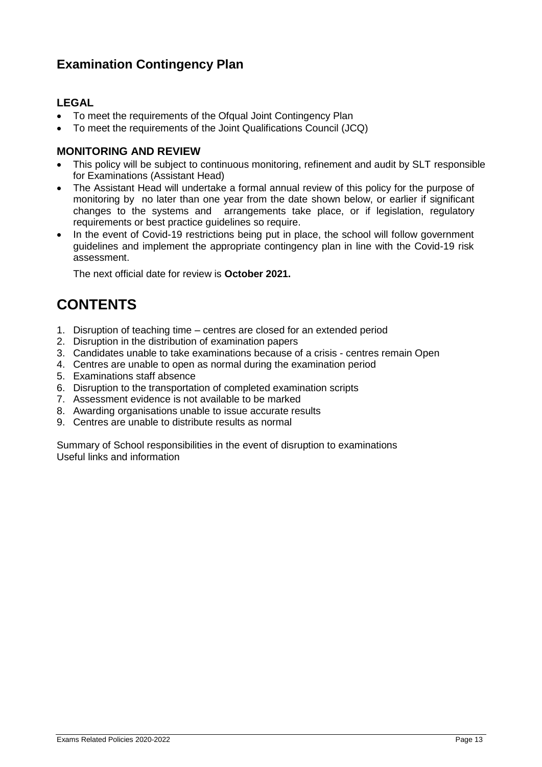### **Examination Contingency Plan**

### **LEGAL**

- To meet the requirements of the Ofqual Joint Contingency Plan
- To meet the requirements of the Joint Qualifications Council (JCQ)

### **MONITORING AND REVIEW**

- This policy will be subject to continuous monitoring, refinement and audit by SLT responsible for Examinations (Assistant Head)
- The Assistant Head will undertake a formal annual review of this policy for the purpose of monitoring by no later than one year from the date shown below, or earlier if significant changes to the systems and arrangements take place, or if legislation, regulatory requirements or best practice guidelines so require.
- In the event of Covid-19 restrictions being put in place, the school will follow government guidelines and implement the appropriate contingency plan in line with the Covid-19 risk assessment.

The next official date for review is **October 2021.**

## **CONTENTS**

- 1. Disruption of teaching time centres are closed for an extended period
- 2. Disruption in the distribution of examination papers
- 3. Candidates unable to take examinations because of a crisis centres remain Open
- 4. Centres are unable to open as normal during the examination period
- 5. Examinations staff absence
- 6. Disruption to the transportation of completed examination scripts
- 7. Assessment evidence is not available to be marked
- 8. Awarding organisations unable to issue accurate results
- 9. Centres are unable to distribute results as normal

Summary of School responsibilities in the event of disruption to examinations Useful links and information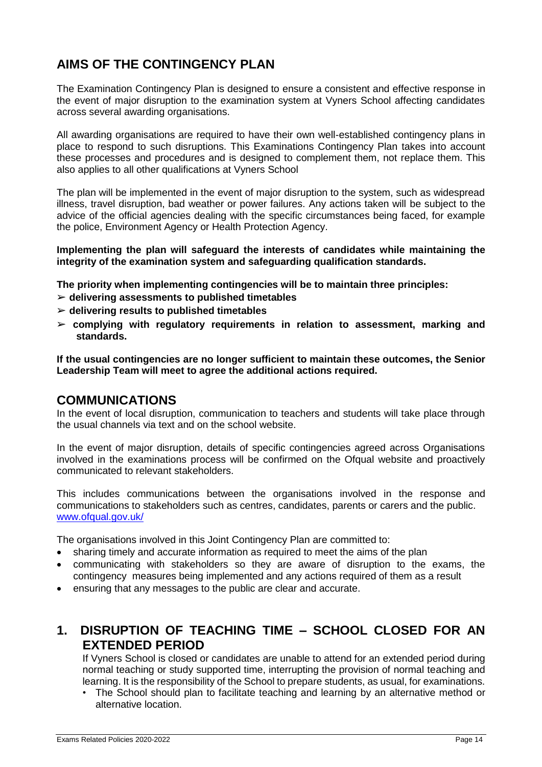## **AIMS OF THE CONTINGENCY PLAN**

The Examination Contingency Plan is designed to ensure a consistent and effective response in the event of major disruption to the examination system at Vyners School affecting candidates across several awarding organisations.

All awarding organisations are required to have their own well-established contingency plans in place to respond to such disruptions. This Examinations Contingency Plan takes into account these processes and procedures and is designed to complement them, not replace them. This also applies to all other qualifications at Vyners School

The plan will be implemented in the event of major disruption to the system, such as widespread illness, travel disruption, bad weather or power failures. Any actions taken will be subject to the advice of the official agencies dealing with the specific circumstances being faced, for example the police, Environment Agency or Health Protection Agency.

#### **Implementing the plan will safeguard the interests of candidates while maintaining the integrity of the examination system and safeguarding qualification standards.**

**The priority when implementing contingencies will be to maintain three principles:** 

- ➢ **delivering assessments to published timetables**
- ➢ **delivering results to published timetables**
- ➢ **complying with regulatory requirements in relation to assessment, marking and standards.**

**If the usual contingencies are no longer sufficient to maintain these outcomes, the Senior Leadership Team will meet to agree the additional actions required.** 

### **COMMUNICATIONS**

In the event of local disruption, communication to teachers and students will take place through the usual channels via text and on the school website.

In the event of major disruption, details of specific contingencies agreed across Organisations involved in the examinations process will be confirmed on the Ofqual website and proactively communicated to relevant stakeholders.

This includes communications between the organisations involved in the response and communications to stakeholders such as centres, candidates, parents or carers and the public. [www.ofqual.gov.uk/](http://www.ofqual.gov.uk/)

The organisations involved in this Joint Contingency Plan are committed to:

- sharing timely and accurate information as required to meet the aims of the plan
- communicating with stakeholders so they are aware of disruption to the exams, the contingency measures being implemented and any actions required of them as a result
- ensuring that any messages to the public are clear and accurate.

### **1. DISRUPTION OF TEACHING TIME – SCHOOL CLOSED FOR AN EXTENDED PERIOD**

If Vyners School is closed or candidates are unable to attend for an extended period during normal teaching or study supported time, interrupting the provision of normal teaching and learning. It is the responsibility of the School to prepare students, as usual, for examinations.

The School should plan to facilitate teaching and learning by an alternative method or alternative location.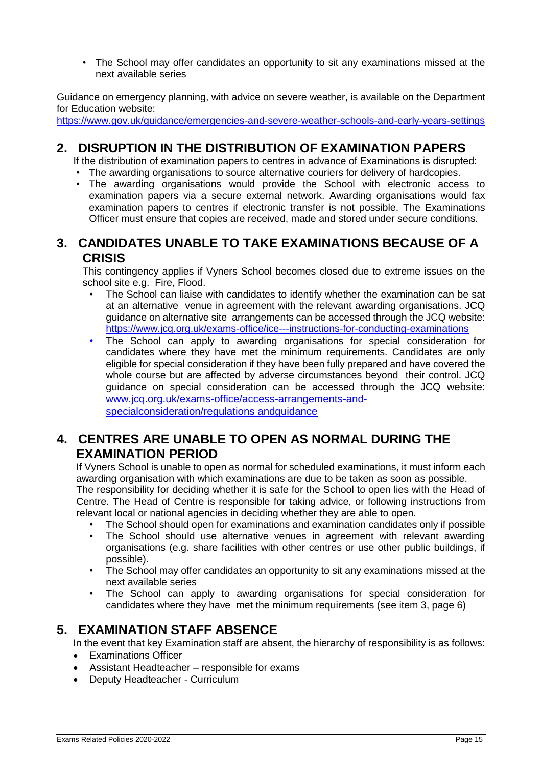• The School may offer candidates an opportunity to sit any examinations missed at the next available series

Guidance on emergency planning, with advice on severe weather, is available on the Department for Education website:

https://www.gov.uk/guidance/emergencies-and-severe-weather-schools-and-early-years-settings

### **2. DISRUPTION IN THE DISTRIBUTION OF EXAMINATION PAPERS**

If the distribution of examination papers to centres in advance of Examinations is disrupted:

- The awarding organisations to source alternative couriers for delivery of hardcopies.
- The awarding organisations would provide the School with electronic access to examination papers via a secure external network. Awarding organisations would fax examination papers to centres if electronic transfer is not possible. The Examinations Officer must ensure that copies are received, made and stored under secure conditions.

### **3. CANDIDATES UNABLE TO TAKE EXAMINATIONS BECAUSE OF A CRISIS**

This contingency applies if Vyners School becomes closed due to extreme issues on the school site e.g. Fire, Flood.

- The School can liaise with candidates to identify whether the examination can be sat at an alternative venue in agreement with the relevant awarding organisations. JCQ guidance on alternative site arrangements can be accessed through the JCQ website: https://www.jcq.org.uk/exams-office/ice---instructions-for-conducting-examinations
- The School can apply to awarding organisations for special consideration for candidates where they have met the minimum requirements. Candidates are only eligible for special consideration if they have been fully prepared and have covered the whole course but are affected by adverse circumstances beyond their control. JCQ guidance on special consideration can be accessed through the JCQ website: www.jcq.org.uk/exams-office/access-arrangements-andspecialconsideration/regulations andguidance

### **4. CENTRES ARE UNABLE TO OPEN AS NORMAL DURING THE EXAMINATION PERIOD**

If Vyners School is unable to open as normal for scheduled examinations, it must inform each awarding organisation with which examinations are due to be taken as soon as possible.

The responsibility for deciding whether it is safe for the School to open lies with the Head of Centre. The Head of Centre is responsible for taking advice, or following instructions from relevant local or national agencies in deciding whether they are able to open.

- The School should open for examinations and examination candidates only if possible
- The School should use alternative venues in agreement with relevant awarding organisations (e.g. share facilities with other centres or use other public buildings, if possible).
- The School may offer candidates an opportunity to sit any examinations missed at the next available series
- The School can apply to awarding organisations for special consideration for candidates where they have met the minimum requirements (see item 3, page 6)

### **5. EXAMINATION STAFF ABSENCE**

In the event that key Examination staff are absent, the hierarchy of responsibility is as follows:

- **•** Examinations Officer
- Assistant Headteacher responsible for exams
- Deputy Headteacher Curriculum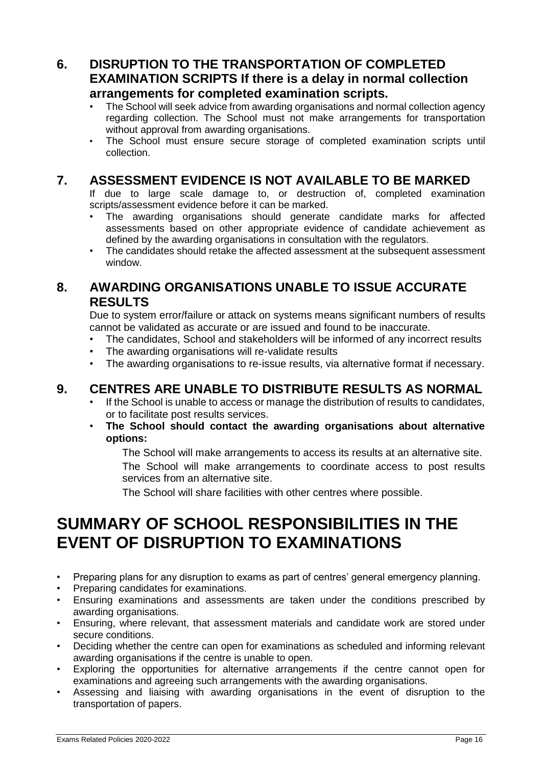### **6. DISRUPTION TO THE TRANSPORTATION OF COMPLETED EXAMINATION SCRIPTS If there is a delay in normal collection arrangements for completed examination scripts.**

- The School will seek advice from awarding organisations and normal collection agency regarding collection. The School must not make arrangements for transportation without approval from awarding organisations.
- The School must ensure secure storage of completed examination scripts until collection.

### **7. ASSESSMENT EVIDENCE IS NOT AVAILABLE TO BE MARKED**

If due to large scale damage to, or destruction of, completed examination scripts/assessment evidence before it can be marked.

- The awarding organisations should generate candidate marks for affected assessments based on other appropriate evidence of candidate achievement as defined by the awarding organisations in consultation with the regulators.
- The candidates should retake the affected assessment at the subsequent assessment window.

### **8. AWARDING ORGANISATIONS UNABLE TO ISSUE ACCURATE RESULTS**

Due to system error/failure or attack on systems means significant numbers of results cannot be validated as accurate or are issued and found to be inaccurate.

- The candidates, School and stakeholders will be informed of any incorrect results
- The awarding organisations will re-validate results
- The awarding organisations to re-issue results, via alternative format if necessary.

### **9. CENTRES ARE UNABLE TO DISTRIBUTE RESULTS AS NORMAL**

- If the School is unable to access or manage the distribution of results to candidates, or to facilitate post results services.
- **The School should contact the awarding organisations about alternative options:**

The School will make arrangements to access its results at an alternative site. The School will make arrangements to coordinate access to post results services from an alternative site.

The School will share facilities with other centres where possible.

## **SUMMARY OF SCHOOL RESPONSIBILITIES IN THE EVENT OF DISRUPTION TO EXAMINATIONS**

- Preparing plans for any disruption to exams as part of centres' general emergency planning.
- Preparing candidates for examinations.
- Ensuring examinations and assessments are taken under the conditions prescribed by awarding organisations.
- Ensuring, where relevant, that assessment materials and candidate work are stored under secure conditions.
- Deciding whether the centre can open for examinations as scheduled and informing relevant awarding organisations if the centre is unable to open.
- Exploring the opportunities for alternative arrangements if the centre cannot open for examinations and agreeing such arrangements with the awarding organisations.
- Assessing and liaising with awarding organisations in the event of disruption to the transportation of papers.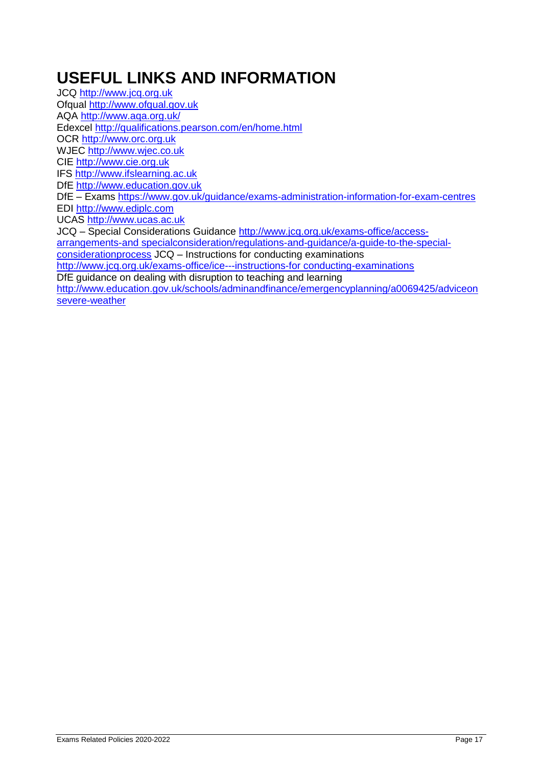# **USEFUL LINKS AND INFORMATION**

JCQ http://www.jcq.org.uk Ofqual http://www.ofqual.gov.uk AQA http://www.aqa.org.uk/ Edexcel http://qualifications.pearson.com/en/home.html OCR http://www.orc.org.uk WJEC http://www.wjec.co.uk CIE http://www.cie.org.uk IFS http://www.ifslearning.ac.uk DfE http://www.education.gov.uk DfE – Exams https://www.gov.uk/guidance/exams-administration-information-for-exam-centres EDI http://www.ediplc.com UCAS http://www.ucas.ac.uk JCQ - Special Considerations Guidance http://www.jcq.org.uk/exams-office/accessarrangements-and specialconsideration/regulations-and-guidance/a-guide-to-the-specialconsiderationprocess JCQ – Instructions for conducting examinations http://www.jcq.org.uk/exams-office/ice---instructions-for conducting-examinations DfE guidance on dealing with disruption to teaching and learning http://www.education.gov.uk/schools/adminandfinance/emergencyplanning/a0069425/adviceon

severe-weather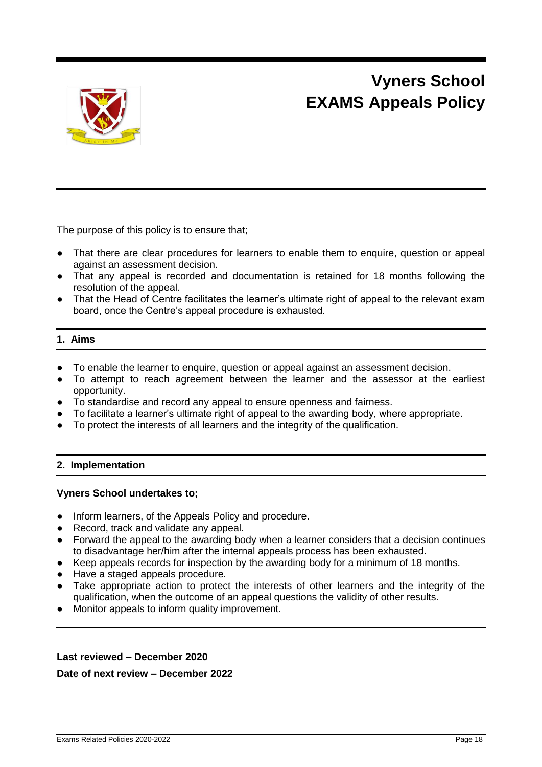



The purpose of this policy is to ensure that;

- That there are clear procedures for learners to enable them to enquire, question or appeal against an assessment decision.
- That any appeal is recorded and documentation is retained for 18 months following the resolution of the appeal.
- That the Head of Centre facilitates the learner's ultimate right of appeal to the relevant exam board, once the Centre's appeal procedure is exhausted.

### **1. Aims**

- To enable the learner to enquire, question or appeal against an assessment decision.
- To attempt to reach agreement between the learner and the assessor at the earliest opportunity.
- To standardise and record any appeal to ensure openness and fairness.
- To facilitate a learner's ultimate right of appeal to the awarding body, where appropriate.
- To protect the interests of all learners and the integrity of the qualification.

### **2. Implementation**

#### **Vyners School undertakes to;**

- Inform learners, of the Appeals Policy and procedure.
- Record, track and validate any appeal.
- Forward the appeal to the awarding body when a learner considers that a decision continues to disadvantage her/him after the internal appeals process has been exhausted.
- Keep appeals records for inspection by the awarding body for a minimum of 18 months.
- Have a staged appeals procedure.
- Take appropriate action to protect the interests of other learners and the integrity of the qualification, when the outcome of an appeal questions the validity of other results.
- Monitor appeals to inform quality improvement.

**Last reviewed – December 2020**

**Date of next review – December 2022**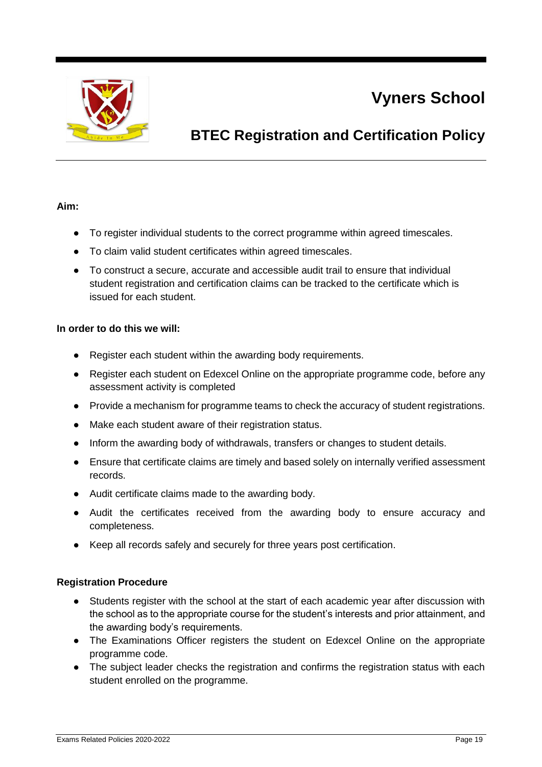

## **BTEC Registration and Certification Policy**

### **Aim:**

- To register individual students to the correct programme within agreed timescales.
- To claim valid student certificates within agreed timescales.
- To construct a secure, accurate and accessible audit trail to ensure that individual student registration and certification claims can be tracked to the certificate which is issued for each student.

### **In order to do this we will:**

- Register each student within the awarding body requirements.
- Register each student on Edexcel Online on the appropriate programme code, before any assessment activity is completed
- Provide a mechanism for programme teams to check the accuracy of student registrations.
- Make each student aware of their registration status.
- Inform the awarding body of withdrawals, transfers or changes to student details.
- Ensure that certificate claims are timely and based solely on internally verified assessment records.
- Audit certificate claims made to the awarding body.
- Audit the certificates received from the awarding body to ensure accuracy and completeness.
- Keep all records safely and securely for three years post certification.

### **Registration Procedure**

- Students register with the school at the start of each academic year after discussion with the school as to the appropriate course for the student's interests and prior attainment, and the awarding body's requirements.
- The Examinations Officer registers the student on Edexcel Online on the appropriate programme code.
- The subject leader checks the registration and confirms the registration status with each student enrolled on the programme.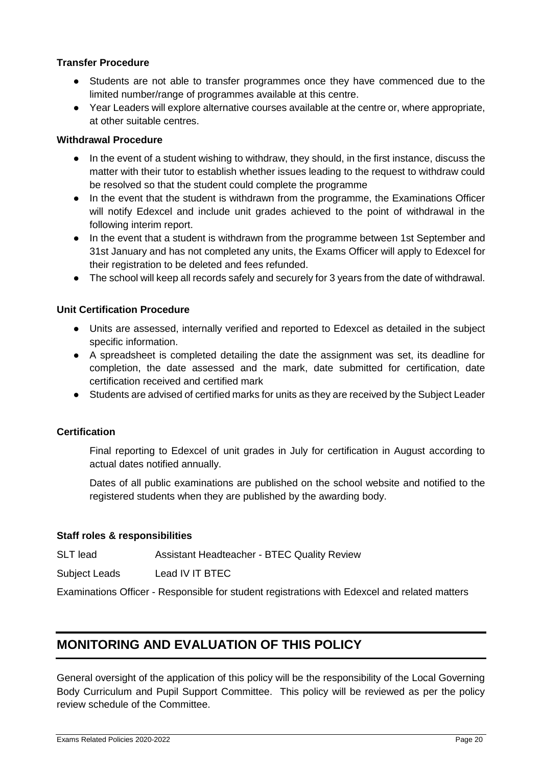### **Transfer Procedure**

- Students are not able to transfer programmes once they have commenced due to the limited number/range of programmes available at this centre.
- Year Leaders will explore alternative courses available at the centre or, where appropriate, at other suitable centres.

### **Withdrawal Procedure**

- In the event of a student wishing to withdraw, they should, in the first instance, discuss the matter with their tutor to establish whether issues leading to the request to withdraw could be resolved so that the student could complete the programme
- In the event that the student is withdrawn from the programme, the Examinations Officer will notify Edexcel and include unit grades achieved to the point of withdrawal in the following interim report.
- In the event that a student is withdrawn from the programme between 1st September and 31st January and has not completed any units, the Exams Officer will apply to Edexcel for their registration to be deleted and fees refunded.
- The school will keep all records safely and securely for 3 years from the date of withdrawal.

### **Unit Certification Procedure**

- Units are assessed, internally verified and reported to Edexcel as detailed in the subject specific information.
- A spreadsheet is completed detailing the date the assignment was set, its deadline for completion, the date assessed and the mark, date submitted for certification, date certification received and certified mark
- Students are advised of certified marks for units as they are received by the Subject Leader

### **Certification**

Final reporting to Edexcel of unit grades in July for certification in August according to actual dates notified annually.

Dates of all public examinations are published on the school website and notified to the registered students when they are published by the awarding body.

### **Staff roles & responsibilities**

SLT lead **Assistant Headteacher - BTEC Quality Review** 

Subject Leads Lead IV IT BTEC

Examinations Officer - Responsible for student registrations with Edexcel and related matters

### **MONITORING AND EVALUATION OF THIS POLICY**

General oversight of the application of this policy will be the responsibility of the Local Governing Body Curriculum and Pupil Support Committee. This policy will be reviewed as per the policy review schedule of the Committee.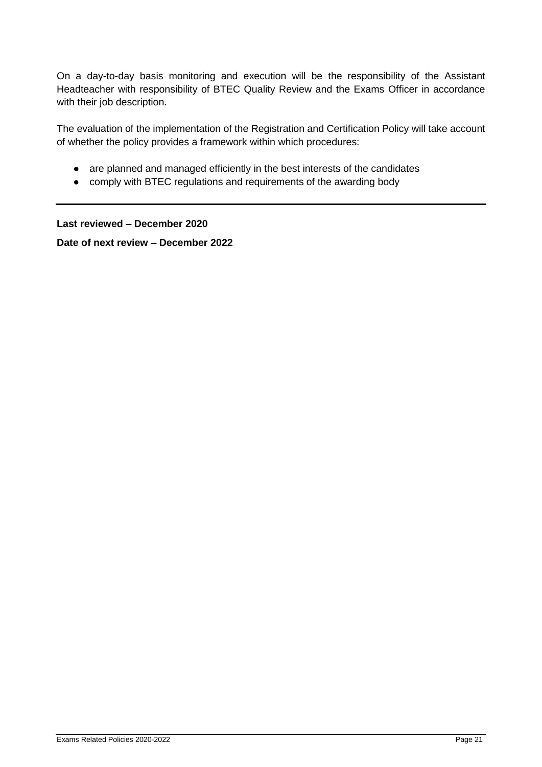On a day-to-day basis monitoring and execution will be the responsibility of the Assistant Headteacher with responsibility of BTEC Quality Review and the Exams Officer in accordance with their job description.

The evaluation of the implementation of the Registration and Certification Policy will take account of whether the policy provides a framework within which procedures:

- are planned and managed efficiently in the best interests of the candidates
- comply with BTEC regulations and requirements of the awarding body

**Last reviewed – December 2020 Date of next review – December 2022**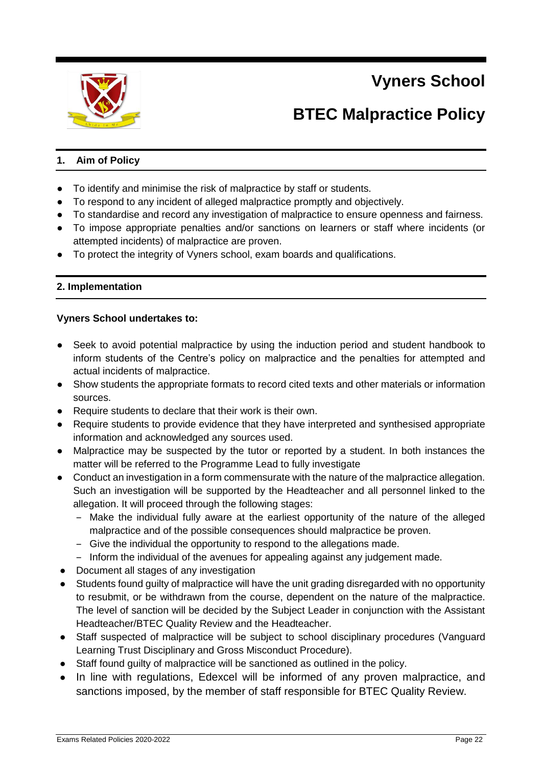

# **BTEC Malpractice Policy**

### **1. Aim of Policy**

- To identify and minimise the risk of malpractice by staff or students.
- To respond to any incident of alleged malpractice promptly and objectively.
- To standardise and record any investigation of malpractice to ensure openness and fairness.
- To impose appropriate penalties and/or sanctions on learners or staff where incidents (or attempted incidents) of malpractice are proven.
- To protect the integrity of Vyners school, exam boards and qualifications.

### **2. Implementation**

### **Vyners School undertakes to:**

- Seek to avoid potential malpractice by using the induction period and student handbook to inform students of the Centre's policy on malpractice and the penalties for attempted and actual incidents of malpractice.
- Show students the appropriate formats to record cited texts and other materials or information sources.
- Require students to declare that their work is their own.
- Require students to provide evidence that they have interpreted and synthesised appropriate information and acknowledged any sources used.
- Malpractice may be suspected by the tutor or reported by a student. In both instances the matter will be referred to the Programme Lead to fully investigate
- Conduct an investigation in a form commensurate with the nature of the malpractice allegation. Such an investigation will be supported by the Headteacher and all personnel linked to the allegation. It will proceed through the following stages:
	- ‒ Make the individual fully aware at the earliest opportunity of the nature of the alleged malpractice and of the possible consequences should malpractice be proven.
	- ‒ Give the individual the opportunity to respond to the allegations made.
	- Inform the individual of the avenues for appealing against any judgement made.
- **Document all stages of any investigation**
- Students found guilty of malpractice will have the unit grading disregarded with no opportunity to resubmit, or be withdrawn from the course, dependent on the nature of the malpractice. The level of sanction will be decided by the Subject Leader in conjunction with the Assistant Headteacher/BTEC Quality Review and the Headteacher.
- Staff suspected of malpractice will be subject to school disciplinary procedures (Vanguard Learning Trust Disciplinary and Gross Misconduct Procedure).
- Staff found guilty of malpractice will be sanctioned as outlined in the policy.
- In line with regulations, Edexcel will be informed of any proven malpractice, and sanctions imposed, by the member of staff responsible for BTEC Quality Review.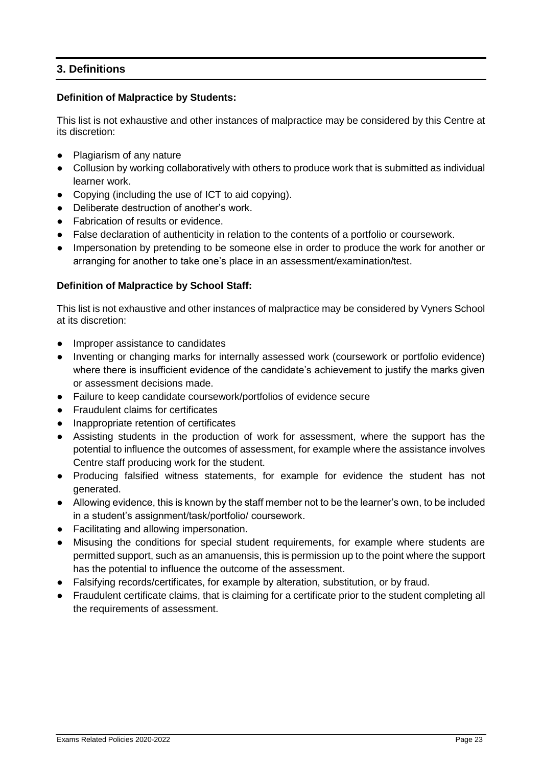### **3. Definitions**

### **Definition of Malpractice by Students:**

This list is not exhaustive and other instances of malpractice may be considered by this Centre at its discretion:

- Plagiarism of any nature
- Collusion by working collaboratively with others to produce work that is submitted as individual learner work.
- Copying (including the use of ICT to aid copying).
- Deliberate destruction of another's work.
- Fabrication of results or evidence.
- False declaration of authenticity in relation to the contents of a portfolio or coursework.
- Impersonation by pretending to be someone else in order to produce the work for another or arranging for another to take one's place in an assessment/examination/test.

### **Definition of Malpractice by School Staff:**

This list is not exhaustive and other instances of malpractice may be considered by Vyners School at its discretion:

- Improper assistance to candidates
- Inventing or changing marks for internally assessed work (coursework or portfolio evidence) where there is insufficient evidence of the candidate's achievement to justify the marks given or assessment decisions made.
- Failure to keep candidate coursework/portfolios of evidence secure
- Fraudulent claims for certificates
- Inappropriate retention of certificates
- Assisting students in the production of work for assessment, where the support has the potential to influence the outcomes of assessment, for example where the assistance involves Centre staff producing work for the student.
- Producing falsified witness statements, for example for evidence the student has not generated.
- Allowing evidence, this is known by the staff member not to be the learner's own, to be included in a student's assignment/task/portfolio/ coursework.
- Facilitating and allowing impersonation.
- Misusing the conditions for special student requirements, for example where students are permitted support, such as an amanuensis, this is permission up to the point where the support has the potential to influence the outcome of the assessment.
- Falsifying records/certificates, for example by alteration, substitution, or by fraud.
- Fraudulent certificate claims, that is claiming for a certificate prior to the student completing all the requirements of assessment.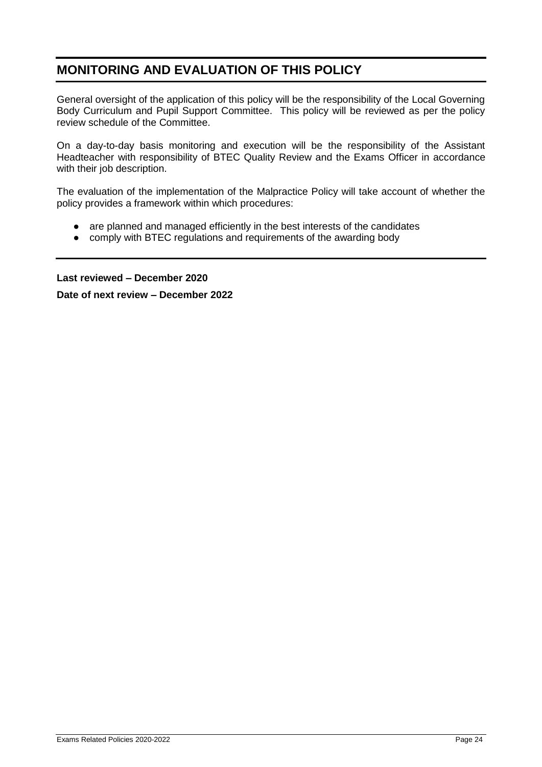### **MONITORING AND EVALUATION OF THIS POLICY**

General oversight of the application of this policy will be the responsibility of the Local Governing Body Curriculum and Pupil Support Committee. This policy will be reviewed as per the policy review schedule of the Committee.

On a day-to-day basis monitoring and execution will be the responsibility of the Assistant Headteacher with responsibility of BTEC Quality Review and the Exams Officer in accordance with their job description.

The evaluation of the implementation of the Malpractice Policy will take account of whether the policy provides a framework within which procedures:

- are planned and managed efficiently in the best interests of the candidates
- comply with BTEC requilations and requirements of the awarding body

**Last reviewed – December 2020 Date of next review – December 2022**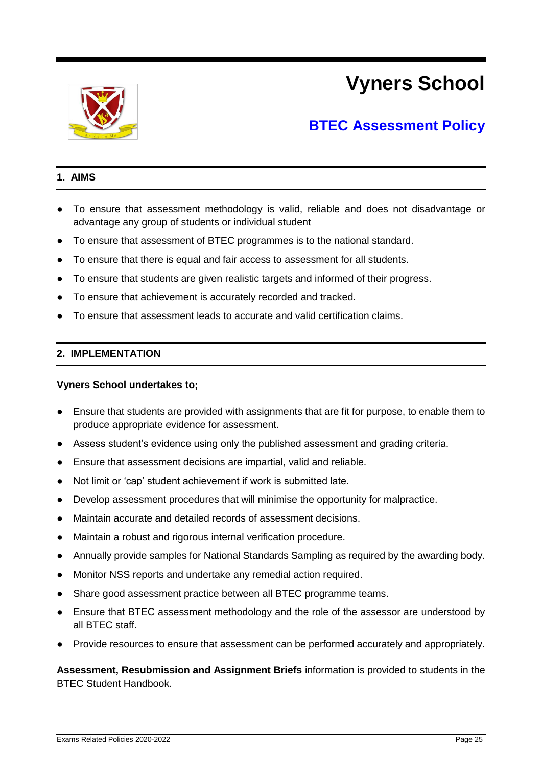

## **BTEC Assessment Policy**

### **1. AIMS**

- To ensure that assessment methodology is valid, reliable and does not disadvantage or advantage any group of students or individual student
- To ensure that assessment of BTEC programmes is to the national standard.
- To ensure that there is equal and fair access to assessment for all students.
- To ensure that students are given realistic targets and informed of their progress.
- To ensure that achievement is accurately recorded and tracked.
- To ensure that assessment leads to accurate and valid certification claims.

### **2. IMPLEMENTATION**

#### **Vyners School undertakes to;**

- Ensure that students are provided with assignments that are fit for purpose, to enable them to produce appropriate evidence for assessment.
- Assess student's evidence using only the published assessment and grading criteria.
- Ensure that assessment decisions are impartial, valid and reliable.
- Not limit or 'cap' student achievement if work is submitted late.
- Develop assessment procedures that will minimise the opportunity for malpractice.
- Maintain accurate and detailed records of assessment decisions.
- Maintain a robust and rigorous internal verification procedure.
- Annually provide samples for National Standards Sampling as required by the awarding body.
- Monitor NSS reports and undertake any remedial action required.
- Share good assessment practice between all BTEC programme teams.
- Ensure that BTEC assessment methodology and the role of the assessor are understood by all BTEC staff.
- Provide resources to ensure that assessment can be performed accurately and appropriately.

**Assessment, Resubmission and Assignment Briefs** information is provided to students in the BTEC Student Handbook.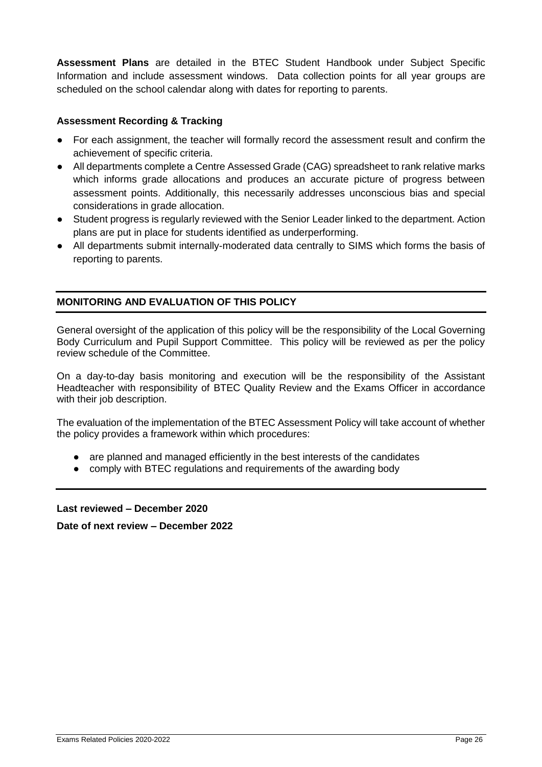**Assessment Plans** are detailed in the BTEC Student Handbook under Subject Specific Information and include assessment windows. Data collection points for all year groups are scheduled on the school calendar along with dates for reporting to parents.

### **Assessment Recording & Tracking**

- For each assignment, the teacher will formally record the assessment result and confirm the achievement of specific criteria.
- All departments complete a Centre Assessed Grade (CAG) spreadsheet to rank relative marks which informs grade allocations and produces an accurate picture of progress between assessment points. Additionally, this necessarily addresses unconscious bias and special considerations in grade allocation.
- Student progress is regularly reviewed with the Senior Leader linked to the department. Action plans are put in place for students identified as underperforming.
- All departments submit internally-moderated data centrally to SIMS which forms the basis of reporting to parents.

### **MONITORING AND EVALUATION OF THIS POLICY**

General oversight of the application of this policy will be the responsibility of the Local Governing Body Curriculum and Pupil Support Committee. This policy will be reviewed as per the policy review schedule of the Committee.

On a day-to-day basis monitoring and execution will be the responsibility of the Assistant Headteacher with responsibility of BTEC Quality Review and the Exams Officer in accordance with their job description.

The evaluation of the implementation of the BTEC Assessment Policy will take account of whether the policy provides a framework within which procedures:

- are planned and managed efficiently in the best interests of the candidates
- comply with BTEC regulations and requirements of the awarding body

#### **Last reviewed – December 2020**

**Date of next review – December 2022**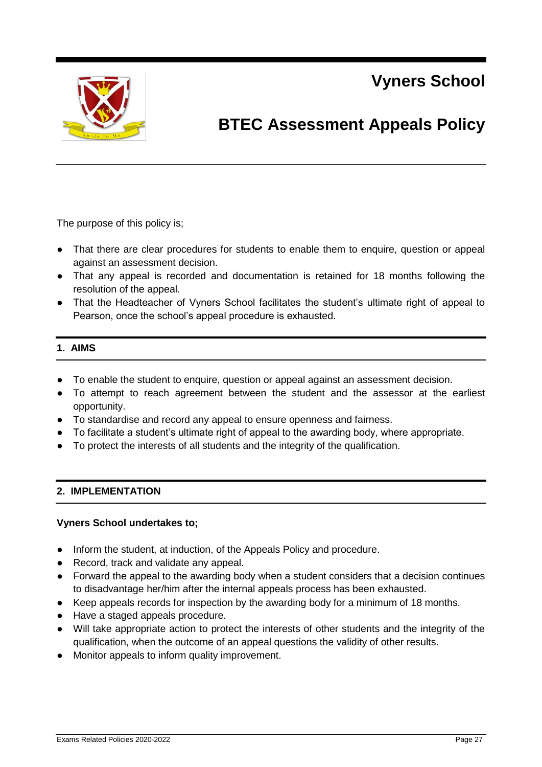

# **BTEC Assessment Appeals Policy**

The purpose of this policy is;

- That there are clear procedures for students to enable them to enquire, question or appeal against an assessment decision.
- That any appeal is recorded and documentation is retained for 18 months following the resolution of the appeal.
- That the Headteacher of Vyners School facilitates the student's ultimate right of appeal to Pearson, once the school's appeal procedure is exhausted.

### **1. AIMS**

- To enable the student to enquire, question or appeal against an assessment decision.
- To attempt to reach agreement between the student and the assessor at the earliest opportunity.
- To standardise and record any appeal to ensure openness and fairness.
- To facilitate a student's ultimate right of appeal to the awarding body, where appropriate.
- To protect the interests of all students and the integrity of the qualification.

### **2. IMPLEMENTATION**

### **Vyners School undertakes to;**

- Inform the student, at induction, of the Appeals Policy and procedure.
- Record, track and validate any appeal.
- Forward the appeal to the awarding body when a student considers that a decision continues to disadvantage her/him after the internal appeals process has been exhausted.
- Keep appeals records for inspection by the awarding body for a minimum of 18 months.
- Have a staged appeals procedure.
- Will take appropriate action to protect the interests of other students and the integrity of the qualification, when the outcome of an appeal questions the validity of other results.
- Monitor appeals to inform quality improvement.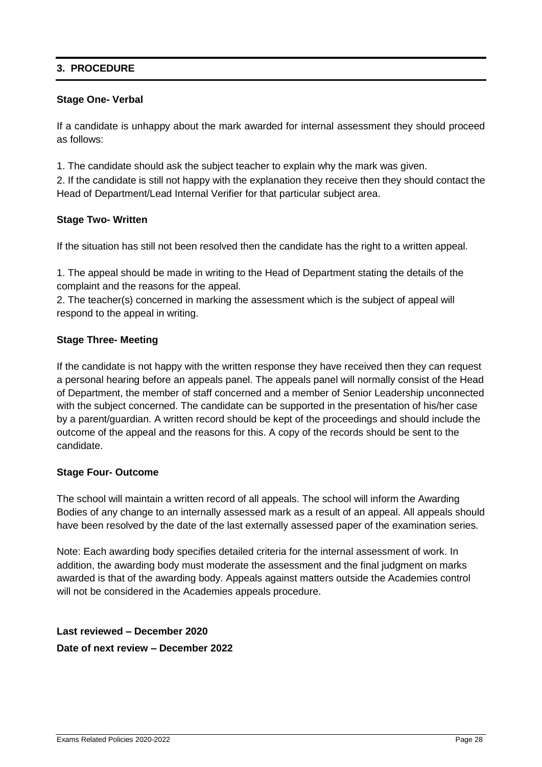### **3. PROCEDURE**

### **Stage One- Verbal**

If a candidate is unhappy about the mark awarded for internal assessment they should proceed as follows:

1. The candidate should ask the subject teacher to explain why the mark was given.

2. If the candidate is still not happy with the explanation they receive then they should contact the Head of Department/Lead Internal Verifier for that particular subject area.

### **Stage Two- Written**

If the situation has still not been resolved then the candidate has the right to a written appeal.

1. The appeal should be made in writing to the Head of Department stating the details of the complaint and the reasons for the appeal.

2. The teacher(s) concerned in marking the assessment which is the subject of appeal will respond to the appeal in writing.

### **Stage Three- Meeting**

If the candidate is not happy with the written response they have received then they can request a personal hearing before an appeals panel. The appeals panel will normally consist of the Head of Department, the member of staff concerned and a member of Senior Leadership unconnected with the subject concerned. The candidate can be supported in the presentation of his/her case by a parent/guardian. A written record should be kept of the proceedings and should include the outcome of the appeal and the reasons for this. A copy of the records should be sent to the candidate.

### **Stage Four- Outcome**

The school will maintain a written record of all appeals. The school will inform the Awarding Bodies of any change to an internally assessed mark as a result of an appeal. All appeals should have been resolved by the date of the last externally assessed paper of the examination series.

Note: Each awarding body specifies detailed criteria for the internal assessment of work. In addition, the awarding body must moderate the assessment and the final judgment on marks awarded is that of the awarding body. Appeals against matters outside the Academies control will not be considered in the Academies appeals procedure.

**Last reviewed – December 2020 Date of next review – December 2022**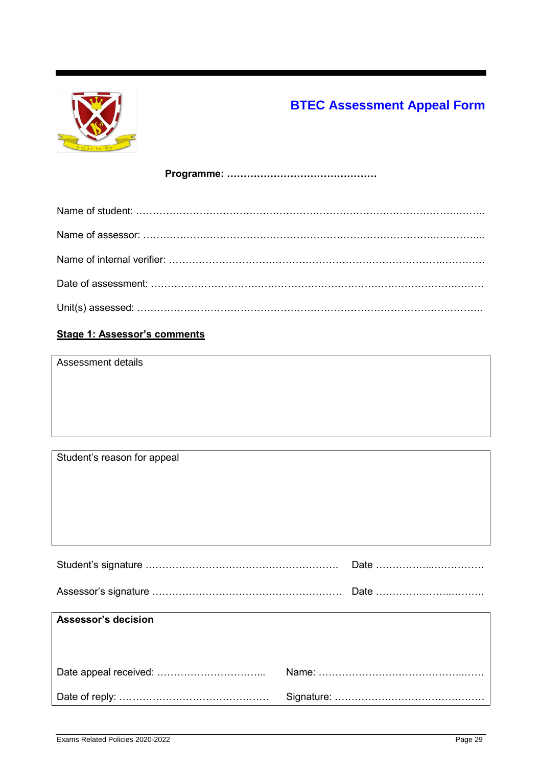

## **BTEC Assessment Appeal Form**

**Programme: ………………………………………**

### **Stage 1: Assessor's comments**

Assessment details

| Student's reason for appeal |      |
|-----------------------------|------|
|                             | Date |
| <b>Assessor's decision</b>  |      |
|                             |      |
|                             |      |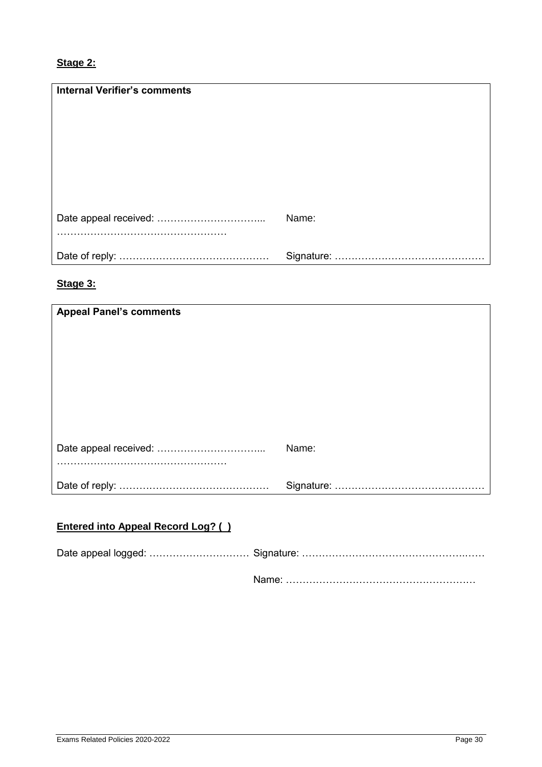### **Stage 2:**

| <b>Internal Verifier's comments</b> |       |
|-------------------------------------|-------|
|                                     | Name: |
|                                     |       |

### **Stage 3:**

| <b>Appeal Panel's comments</b> |       |
|--------------------------------|-------|
|                                | Name: |
|                                |       |

### **Entered into Appeal Record Log? ( )**